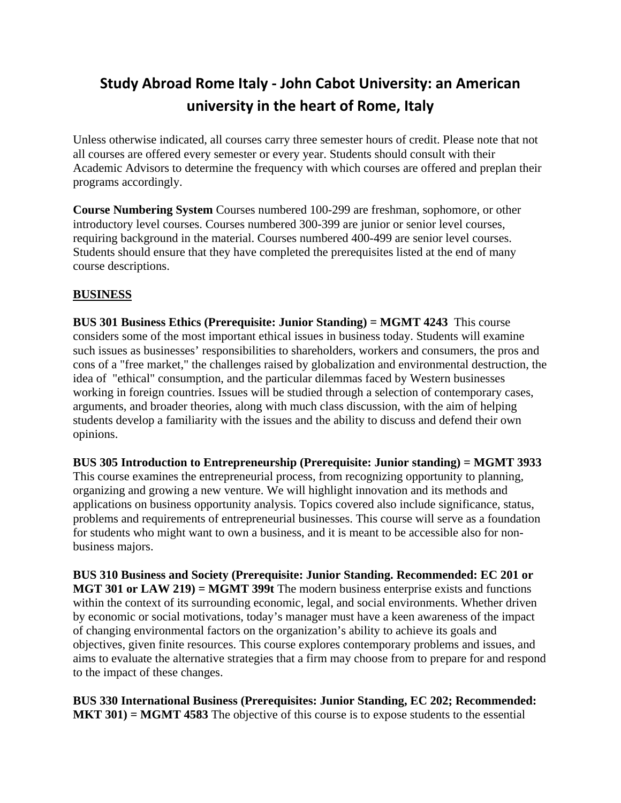# **Study Abroad Rome Italy ‐ John Cabot University: an American university in the heart of Rome, Italy**

Unless otherwise indicated, all courses carry three semester hours of credit. Please note that not all courses are offered every semester or every year. Students should consult with their Academic Advisors to determine the frequency with which courses are offered and preplan their programs accordingly.

**Course Numbering System** Courses numbered 100-299 are freshman, sophomore, or other introductory level courses. Courses numbered 300-399 are junior or senior level courses, requiring background in the material. Courses numbered 400-499 are senior level courses. Students should ensure that they have completed the prerequisites listed at the end of many course descriptions.

## **BUSINESS**

**BUS 301 Business Ethics (Prerequisite: Junior Standing) = MGMT 4243** This course considers some of the most important ethical issues in business today. Students will examine such issues as businesses' responsibilities to shareholders, workers and consumers, the pros and cons of a "free market," the challenges raised by globalization and environmental destruction, the idea of "ethical" consumption, and the particular dilemmas faced by Western businesses working in foreign countries. Issues will be studied through a selection of contemporary cases, arguments, and broader theories, along with much class discussion, with the aim of helping students develop a familiarity with the issues and the ability to discuss and defend their own opinions.

**BUS 305 Introduction to Entrepreneurship (Prerequisite: Junior standing) = MGMT 3933**  This course examines the entrepreneurial process, from recognizing opportunity to planning, organizing and growing a new venture. We will highlight innovation and its methods and applications on business opportunity analysis. Topics covered also include significance, status, problems and requirements of entrepreneurial businesses. This course will serve as a foundation for students who might want to own a business, and it is meant to be accessible also for nonbusiness majors.

**BUS 310 Business and Society (Prerequisite: Junior Standing. Recommended: EC 201 or MGT 301 or LAW 219) = MGMT 399t** The modern business enterprise exists and functions within the context of its surrounding economic, legal, and social environments. Whether driven by economic or social motivations, today's manager must have a keen awareness of the impact of changing environmental factors on the organization's ability to achieve its goals and objectives, given finite resources. This course explores contemporary problems and issues, and aims to evaluate the alternative strategies that a firm may choose from to prepare for and respond to the impact of these changes.

**BUS 330 International Business (Prerequisites: Junior Standing, EC 202; Recommended: MKT 301) = MGMT 4583** The objective of this course is to expose students to the essential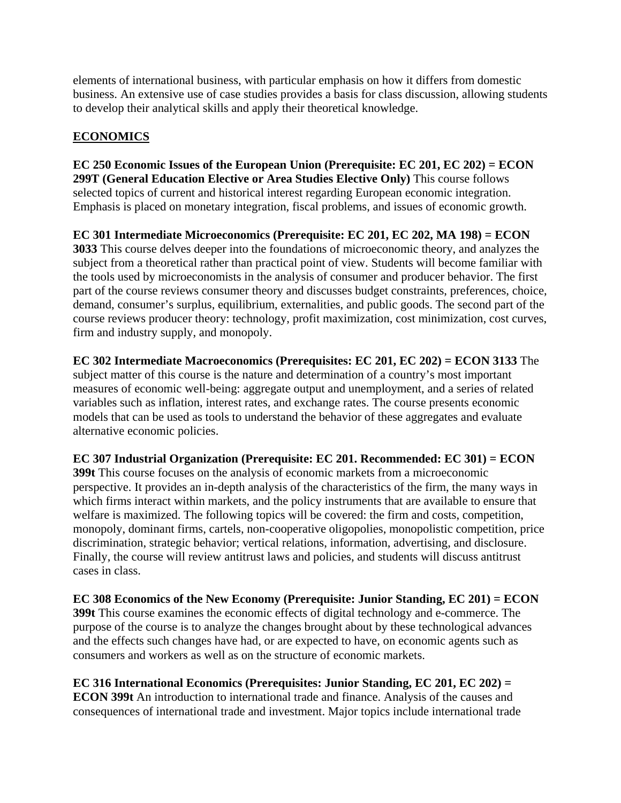elements of international business, with particular emphasis on how it differs from domestic business. An extensive use of case studies provides a basis for class discussion, allowing students to develop their analytical skills and apply their theoretical knowledge.

## **ECONOMICS**

**EC 250 Economic Issues of the European Union (Prerequisite: EC 201, EC 202) = ECON 299T (General Education Elective or Area Studies Elective Only)** This course follows selected topics of current and historical interest regarding European economic integration. Emphasis is placed on monetary integration, fiscal problems, and issues of economic growth.

**EC 301 Intermediate Microeconomics (Prerequisite: EC 201, EC 202, MA 198) = ECON 3033** This course delves deeper into the foundations of microeconomic theory, and analyzes the subject from a theoretical rather than practical point of view. Students will become familiar with the tools used by microeconomists in the analysis of consumer and producer behavior. The first part of the course reviews consumer theory and discusses budget constraints, preferences, choice, demand, consumer's surplus, equilibrium, externalities, and public goods. The second part of the course reviews producer theory: technology, profit maximization, cost minimization, cost curves, firm and industry supply, and monopoly.

**EC 302 Intermediate Macroeconomics (Prerequisites: EC 201, EC 202) = ECON 3133** The subject matter of this course is the nature and determination of a country's most important measures of economic well-being: aggregate output and unemployment, and a series of related variables such as inflation, interest rates, and exchange rates. The course presents economic models that can be used as tools to understand the behavior of these aggregates and evaluate alternative economic policies.

**EC 307 Industrial Organization (Prerequisite: EC 201. Recommended: EC 301) = ECON 399t** This course focuses on the analysis of economic markets from a microeconomic perspective. It provides an in-depth analysis of the characteristics of the firm, the many ways in which firms interact within markets, and the policy instruments that are available to ensure that welfare is maximized. The following topics will be covered: the firm and costs, competition, monopoly, dominant firms, cartels, non-cooperative oligopolies, monopolistic competition, price discrimination, strategic behavior; vertical relations, information, advertising, and disclosure. Finally, the course will review antitrust laws and policies, and students will discuss antitrust cases in class.

**EC 308 Economics of the New Economy (Prerequisite: Junior Standing, EC 201) = ECON 399t** This course examines the economic effects of digital technology and e-commerce. The purpose of the course is to analyze the changes brought about by these technological advances and the effects such changes have had, or are expected to have, on economic agents such as consumers and workers as well as on the structure of economic markets.

**EC 316 International Economics (Prerequisites: Junior Standing, EC 201, EC 202) = ECON 399t** An introduction to international trade and finance. Analysis of the causes and consequences of international trade and investment. Major topics include international trade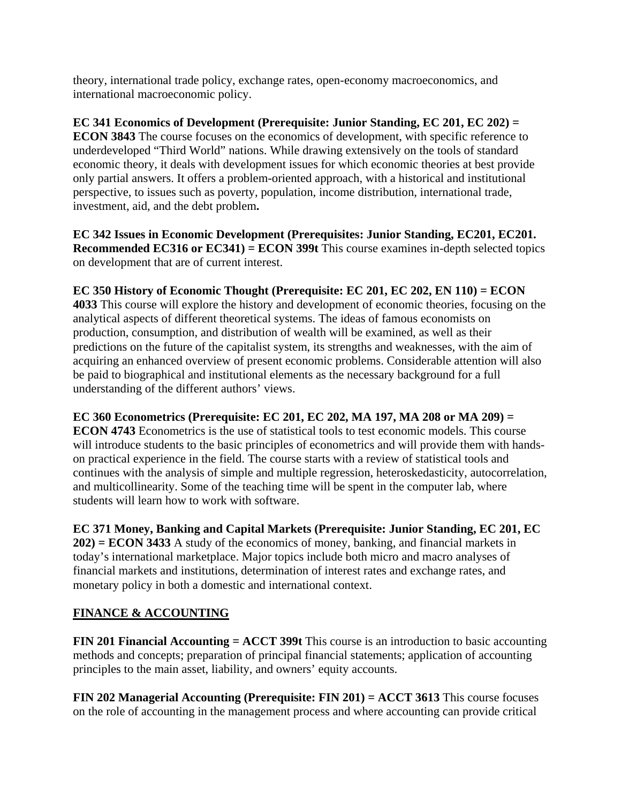theory, international trade policy, exchange rates, open-economy macroeconomics, and international macroeconomic policy.

**EC 341 Economics of Development (Prerequisite: Junior Standing, EC 201, EC 202) = ECON 3843** The course focuses on the economics of development, with specific reference to underdeveloped "Third World" nations. While drawing extensively on the tools of standard economic theory, it deals with development issues for which economic theories at best provide only partial answers. It offers a problem-oriented approach, with a historical and institutional perspective, to issues such as poverty, population, income distribution, international trade, investment, aid, and the debt problem**.** 

**EC 342 Issues in Economic Development (Prerequisites: Junior Standing, EC201, EC201. Recommended EC316 or EC341) = ECON 399t** This course examines in-depth selected topics on development that are of current interest.

**EC 350 History of Economic Thought (Prerequisite: EC 201, EC 202, EN 110) = ECON 4033** This course will explore the history and development of economic theories, focusing on the analytical aspects of different theoretical systems. The ideas of famous economists on production, consumption, and distribution of wealth will be examined, as well as their predictions on the future of the capitalist system, its strengths and weaknesses, with the aim of acquiring an enhanced overview of present economic problems. Considerable attention will also be paid to biographical and institutional elements as the necessary background for a full understanding of the different authors' views.

**EC 360 Econometrics (Prerequisite: EC 201, EC 202, MA 197, MA 208 or MA 209) = ECON 4743** Econometrics is the use of statistical tools to test economic models. This course will introduce students to the basic principles of econometrics and will provide them with handson practical experience in the field. The course starts with a review of statistical tools and continues with the analysis of simple and multiple regression, heteroskedasticity, autocorrelation, and multicollinearity. Some of the teaching time will be spent in the computer lab, where students will learn how to work with software.

**EC 371 Money, Banking and Capital Markets (Prerequisite: Junior Standing, EC 201, EC 202) = ECON 3433** A study of the economics of money, banking, and financial markets in today's international marketplace. Major topics include both micro and macro analyses of financial markets and institutions, determination of interest rates and exchange rates, and monetary policy in both a domestic and international context.

# **FINANCE & ACCOUNTING**

**FIN 201 Financial Accounting = ACCT 399t** This course is an introduction to basic accounting methods and concepts; preparation of principal financial statements; application of accounting principles to the main asset, liability, and owners' equity accounts.

**FIN 202 Managerial Accounting (Prerequisite: FIN 201) = ACCT 3613** This course focuses on the role of accounting in the management process and where accounting can provide critical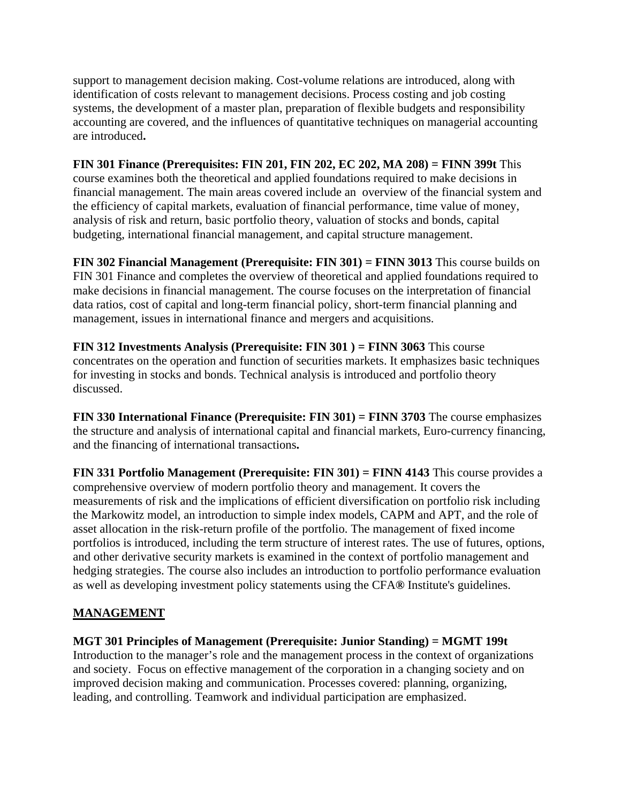support to management decision making. Cost-volume relations are introduced, along with identification of costs relevant to management decisions. Process costing and job costing systems, the development of a master plan, preparation of flexible budgets and responsibility accounting are covered, and the influences of quantitative techniques on managerial accounting are introduced**.** 

**FIN 301 Finance (Prerequisites: FIN 201, FIN 202, EC 202, MA 208) = FINN 399t** This course examines both the theoretical and applied foundations required to make decisions in financial management. The main areas covered include an overview of the financial system and the efficiency of capital markets, evaluation of financial performance, time value of money, analysis of risk and return, basic portfolio theory, valuation of stocks and bonds, capital budgeting, international financial management, and capital structure management.

**FIN 302 Financial Management (Prerequisite: FIN 301) = FINN 3013** This course builds on FIN 301 Finance and completes the overview of theoretical and applied foundations required to make decisions in financial management. The course focuses on the interpretation of financial data ratios, cost of capital and long-term financial policy, short-term financial planning and management, issues in international finance and mergers and acquisitions.

**FIN 312 Investments Analysis (Prerequisite: FIN 301 ) = FINN 3063** This course concentrates on the operation and function of securities markets. It emphasizes basic techniques for investing in stocks and bonds. Technical analysis is introduced and portfolio theory discussed.

**FIN 330 International Finance (Prerequisite: FIN 301) = FINN 3703** The course emphasizes the structure and analysis of international capital and financial markets, Euro-currency financing, and the financing of international transactions**.** 

**FIN 331 Portfolio Management (Prerequisite: FIN 301) = FINN 4143** This course provides a comprehensive overview of modern portfolio theory and management. It covers the measurements of risk and the implications of efficient diversification on portfolio risk including the Markowitz model, an introduction to simple index models, CAPM and APT, and the role of asset allocation in the risk-return profile of the portfolio. The management of fixed income portfolios is introduced, including the term structure of interest rates. The use of futures, options, and other derivative security markets is examined in the context of portfolio management and hedging strategies. The course also includes an introduction to portfolio performance evaluation as well as developing investment policy statements using the CFA**®** Institute's guidelines.

## **MANAGEMENT**

#### **MGT 301 Principles of Management (Prerequisite: Junior Standing) = MGMT 199t**

Introduction to the manager's role and the management process in the context of organizations and society. Focus on effective management of the corporation in a changing society and on improved decision making and communication. Processes covered: planning, organizing, leading, and controlling. Teamwork and individual participation are emphasized.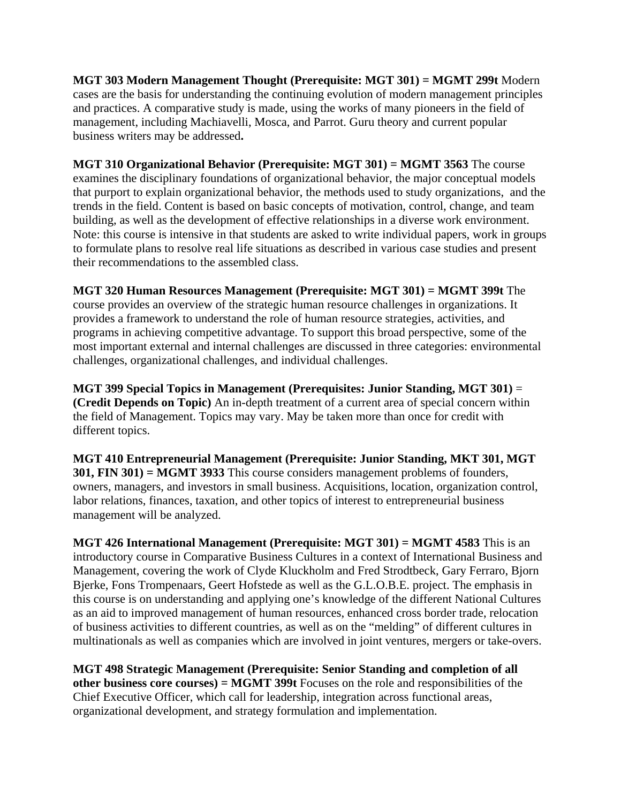**MGT 303 Modern Management Thought (Prerequisite: MGT 301) = MGMT 299t** Modern cases are the basis for understanding the continuing evolution of modern management principles and practices. A comparative study is made, using the works of many pioneers in the field of management, including Machiavelli, Mosca, and Parrot. Guru theory and current popular business writers may be addressed**.** 

**MGT 310 Organizational Behavior (Prerequisite: MGT 301) = MGMT 3563** The course examines the disciplinary foundations of organizational behavior, the major conceptual models that purport to explain organizational behavior, the methods used to study organizations, and the trends in the field. Content is based on basic concepts of motivation, control, change, and team building, as well as the development of effective relationships in a diverse work environment. Note: this course is intensive in that students are asked to write individual papers, work in groups to formulate plans to resolve real life situations as described in various case studies and present their recommendations to the assembled class.

**MGT 320 Human Resources Management (Prerequisite: MGT 301) = MGMT 399t** The course provides an overview of the strategic human resource challenges in organizations. It provides a framework to understand the role of human resource strategies, activities, and programs in achieving competitive advantage. To support this broad perspective, some of the most important external and internal challenges are discussed in three categories: environmental challenges, organizational challenges, and individual challenges.

**MGT 399 Special Topics in Management (Prerequisites: Junior Standing, MGT 301)** = **(Credit Depends on Topic)** An in-depth treatment of a current area of special concern within the field of Management. Topics may vary. May be taken more than once for credit with different topics.

**MGT 410 Entrepreneurial Management (Prerequisite: Junior Standing, MKT 301, MGT 301, FIN 301) = MGMT 3933** This course considers management problems of founders, owners, managers, and investors in small business. Acquisitions, location, organization control, labor relations, finances, taxation, and other topics of interest to entrepreneurial business management will be analyzed.

**MGT 426 International Management (Prerequisite: MGT 301) = MGMT 4583** This is an introductory course in Comparative Business Cultures in a context of International Business and Management, covering the work of Clyde Kluckholm and Fred Strodtbeck, Gary Ferraro, Bjorn Bjerke, Fons Trompenaars, Geert Hofstede as well as the G.L.O.B.E. project. The emphasis in this course is on understanding and applying one's knowledge of the different National Cultures as an aid to improved management of human resources, enhanced cross border trade, relocation of business activities to different countries, as well as on the "melding" of different cultures in multinationals as well as companies which are involved in joint ventures, mergers or take-overs.

**MGT 498 Strategic Management (Prerequisite: Senior Standing and completion of all other business core courses) = MGMT 399t** Focuses on the role and responsibilities of the Chief Executive Officer, which call for leadership, integration across functional areas, organizational development, and strategy formulation and implementation.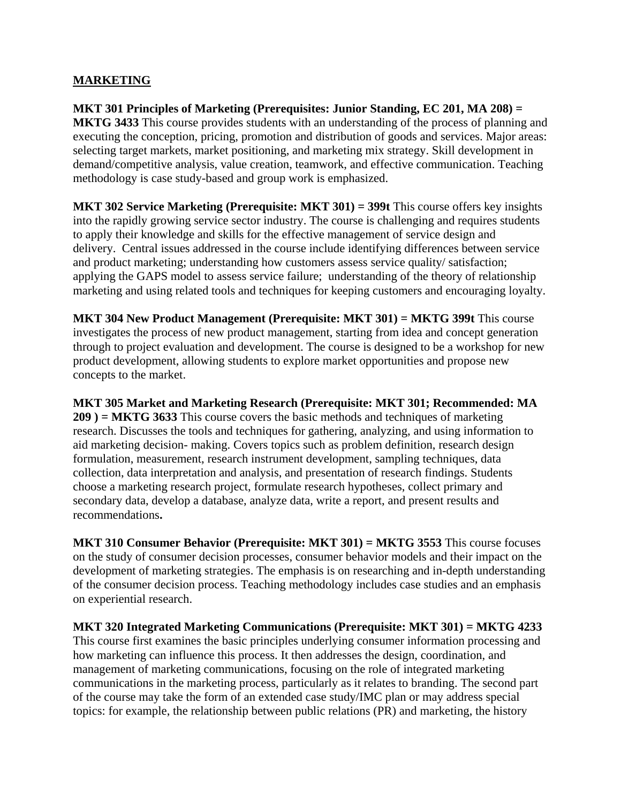#### **MARKETING**

**MKT 301 Principles of Marketing (Prerequisites: Junior Standing, EC 201, MA 208) = MKTG 3433** This course provides students with an understanding of the process of planning and executing the conception, pricing, promotion and distribution of goods and services. Major areas: selecting target markets, market positioning, and marketing mix strategy. Skill development in demand/competitive analysis, value creation, teamwork, and effective communication. Teaching methodology is case study-based and group work is emphasized.

**MKT 302 Service Marketing (Prerequisite: MKT 301) = 399t** This course offers key insights into the rapidly growing service sector industry. The course is challenging and requires students to apply their knowledge and skills for the effective management of service design and delivery. Central issues addressed in the course include identifying differences between service and product marketing; understanding how customers assess service quality/ satisfaction; applying the GAPS model to assess service failure; understanding of the theory of relationship marketing and using related tools and techniques for keeping customers and encouraging loyalty.

**MKT 304 New Product Management (Prerequisite: MKT 301) = MKTG 399t** This course investigates the process of new product management, starting from idea and concept generation through to project evaluation and development. The course is designed to be a workshop for new product development, allowing students to explore market opportunities and propose new concepts to the market.

**MKT 305 Market and Marketing Research (Prerequisite: MKT 301; Recommended: MA 209 ) = MKTG 3633** This course covers the basic methods and techniques of marketing research. Discusses the tools and techniques for gathering, analyzing, and using information to aid marketing decision- making. Covers topics such as problem definition, research design formulation, measurement, research instrument development, sampling techniques, data collection, data interpretation and analysis, and presentation of research findings. Students choose a marketing research project, formulate research hypotheses, collect primary and secondary data, develop a database, analyze data, write a report, and present results and recommendations**.** 

**MKT 310 Consumer Behavior (Prerequisite: MKT 301) = MKTG 3553** This course focuses on the study of consumer decision processes, consumer behavior models and their impact on the development of marketing strategies. The emphasis is on researching and in-depth understanding of the consumer decision process. Teaching methodology includes case studies and an emphasis on experiential research.

**MKT 320 Integrated Marketing Communications (Prerequisite: MKT 301) = MKTG 4233**  This course first examines the basic principles underlying consumer information processing and how marketing can influence this process. It then addresses the design, coordination, and management of marketing communications, focusing on the role of integrated marketing communications in the marketing process, particularly as it relates to branding. The second part of the course may take the form of an extended case study/IMC plan or may address special topics: for example, the relationship between public relations (PR) and marketing, the history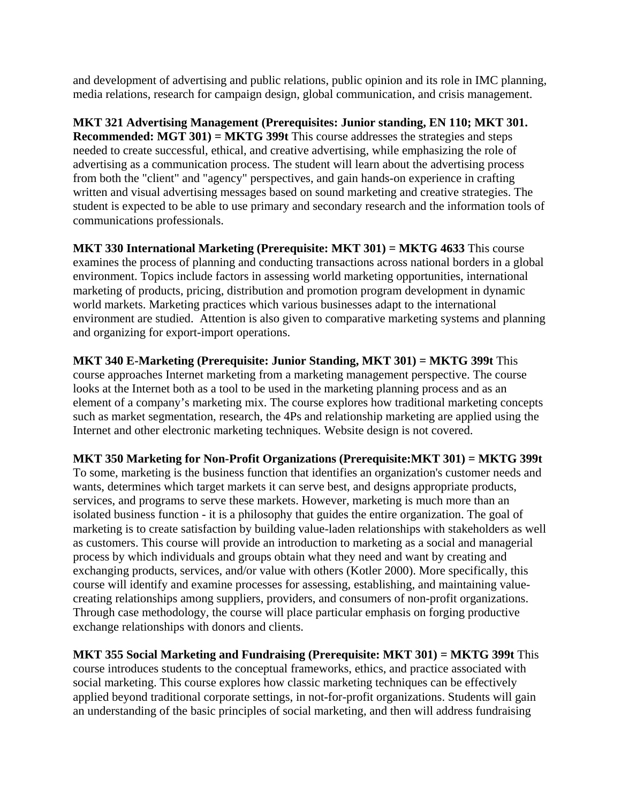and development of advertising and public relations, public opinion and its role in IMC planning, media relations, research for campaign design, global communication, and crisis management.

**MKT 321 Advertising Management (Prerequisites: Junior standing, EN 110; MKT 301. Recommended: MGT 301) = MKTG 399t** This course addresses the strategies and steps needed to create successful, ethical, and creative advertising, while emphasizing the role of advertising as a communication process. The student will learn about the advertising process from both the "client" and "agency" perspectives, and gain hands-on experience in crafting written and visual advertising messages based on sound marketing and creative strategies. The student is expected to be able to use primary and secondary research and the information tools of communications professionals.

**MKT 330 International Marketing (Prerequisite: MKT 301) = MKTG 4633** This course examines the process of planning and conducting transactions across national borders in a global environment. Topics include factors in assessing world marketing opportunities, international marketing of products, pricing, distribution and promotion program development in dynamic world markets. Marketing practices which various businesses adapt to the international environment are studied. Attention is also given to comparative marketing systems and planning and organizing for export-import operations.

**MKT 340 E-Marketing (Prerequisite: Junior Standing, MKT 301) = MKTG 399t** This course approaches Internet marketing from a marketing management perspective. The course looks at the Internet both as a tool to be used in the marketing planning process and as an element of a company's marketing mix. The course explores how traditional marketing concepts such as market segmentation, research, the 4Ps and relationship marketing are applied using the Internet and other electronic marketing techniques. Website design is not covered.

**MKT 350 Marketing for Non-Profit Organizations (Prerequisite:MKT 301) = MKTG 399t** 

To some, marketing is the business function that identifies an organization's customer needs and wants, determines which target markets it can serve best, and designs appropriate products, services, and programs to serve these markets. However, marketing is much more than an isolated business function - it is a philosophy that guides the entire organization. The goal of marketing is to create satisfaction by building value-laden relationships with stakeholders as well as customers. This course will provide an introduction to marketing as a social and managerial process by which individuals and groups obtain what they need and want by creating and exchanging products, services, and/or value with others (Kotler 2000). More specifically, this course will identify and examine processes for assessing, establishing, and maintaining valuecreating relationships among suppliers, providers, and consumers of non-profit organizations. Through case methodology, the course will place particular emphasis on forging productive exchange relationships with donors and clients.

**MKT 355 Social Marketing and Fundraising (Prerequisite: MKT 301) = MKTG 399t** This course introduces students to the conceptual frameworks, ethics, and practice associated with social marketing. This course explores how classic marketing techniques can be effectively applied beyond traditional corporate settings, in not-for-profit organizations. Students will gain an understanding of the basic principles of social marketing, and then will address fundraising